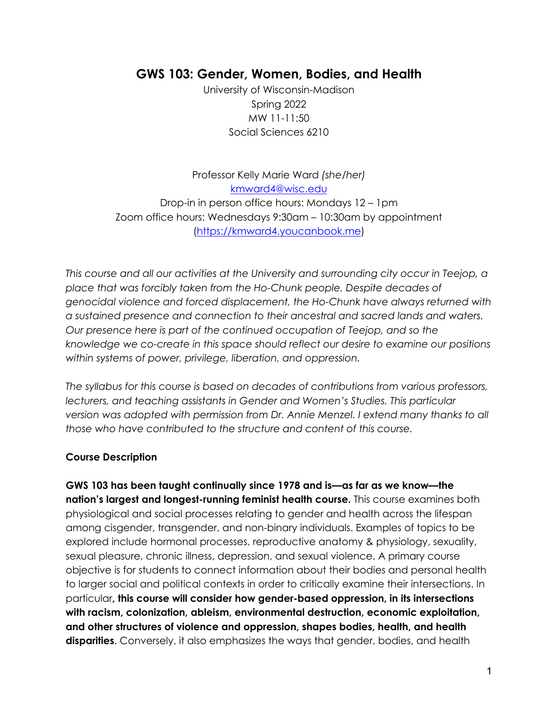# **GWS 103: Gender, Women, Bodies, and Health**

University of Wisconsin-Madison Spring 2022 MW 11-11:50 Social Sciences 6210

Professor Kelly Marie Ward *(she/her)* kmward4@wisc.edu Drop-in in person office hours: Mondays 12 – 1pm Zoom office hours: Wednesdays 9:30am – 10:30am by appointment (https://kmward4.youcanbook.me)

*This course and all our activities at the University and surrounding city occur in Teejop, a place that was forcibly taken from the Ho-Chunk people. Despite decades of genocidal violence and forced displacement, the Ho-Chunk have always returned with a sustained presence and connection to their ancestral and sacred lands and waters. Our presence here is part of the continued occupation of Teejop, and so the knowledge we co-create in this space should reflect our desire to examine our positions within systems of power, privilege, liberation, and oppression.* 

*The syllabus for this course is based on decades of contributions from various professors,*  lecturers, and teaching assistants in Gender and Women's Studies. This particular *version was adopted with permission from Dr. Annie Menzel. I extend many thanks to all those who have contributed to the structure and content of this course.* 

### **Course Description**

**GWS 103 has been taught continually since 1978 and is—as far as we know—the nation's largest and longest-running feminist health course.** This course examines both physiological and social processes relating to gender and health across the lifespan among cisgender, transgender, and non-binary individuals. Examples of topics to be explored include hormonal processes, reproductive anatomy & physiology, sexuality, sexual pleasure, chronic illness, depression, and sexual violence. A primary course objective is for students to connect information about their bodies and personal health to larger social and political contexts in order to critically examine their intersections. In particular**, this course will consider how gender-based oppression, in its intersections with racism, colonization, ableism, environmental destruction, economic exploitation, and other structures of violence and oppression, shapes bodies, health, and health disparities**. Conversely, it also emphasizes the ways that gender, bodies, and health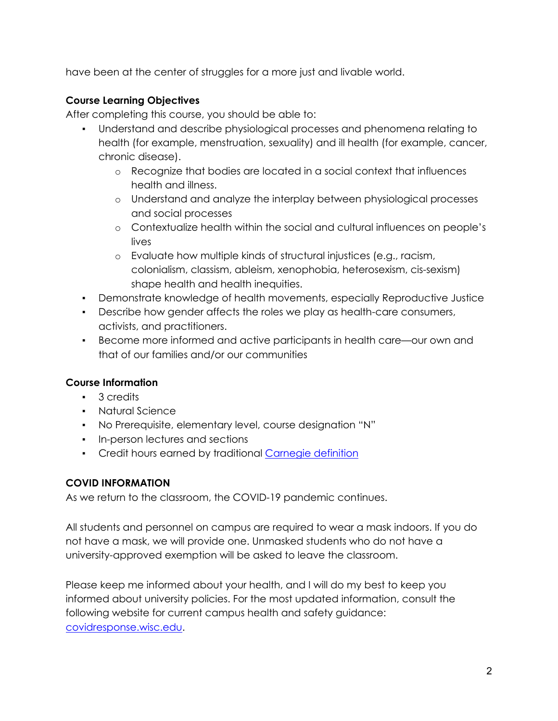have been at the center of struggles for a more just and livable world.

# **Course Learning Objectives**

After completing this course, you should be able to:

- Understand and describe physiological processes and phenomena relating to health (for example, menstruation, sexuality) and ill health (for example, cancer, chronic disease).
	- o Recognize that bodies are located in a social context that influences health and illness.
	- o Understand and analyze the interplay between physiological processes and social processes
	- o Contextualize health within the social and cultural influences on people's lives
	- o Evaluate how multiple kinds of structural injustices (e.g., racism, colonialism, classism, ableism, xenophobia, heterosexism, cis-sexism) shape health and health inequities.
- Demonstrate knowledge of health movements, especially Reproductive Justice
- Describe how gender affects the roles we play as health-care consumers, activists, and practitioners.
- Become more informed and active participants in health care—our own and that of our families and/or our communities

# **Course Information**

- 3 credits
- Natural Science
- No Prerequisite, elementary level, course designation "N"
- In-person lectures and sections
- Credit hours earned by traditional Carnegie definition

# **COVID INFORMATION**

As we return to the classroom, the COVID-19 pandemic continues.

All students and personnel on campus are required to wear a mask indoors. If you do not have a mask, we will provide one. Unmasked students who do not have a university-approved exemption will be asked to leave the classroom.

Please keep me informed about your health, and I will do my best to keep you informed about university policies. For the most updated information, consult the following website for current campus health and safety guidance: covidresponse.wisc.edu.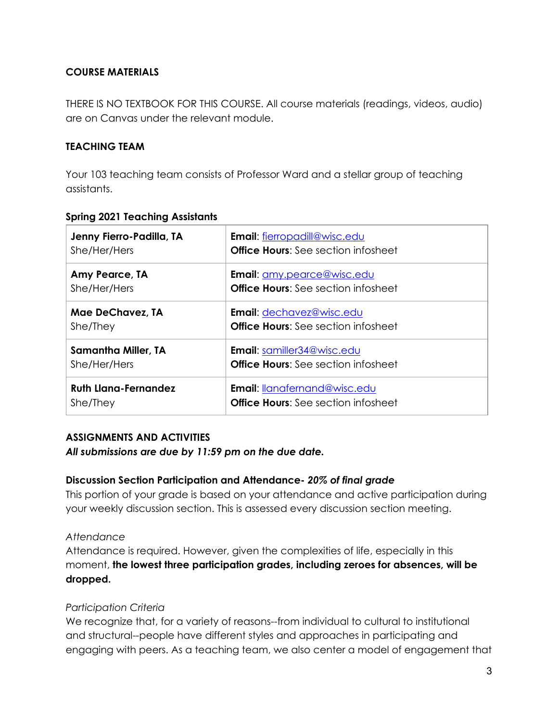## **COURSE MATERIALS**

THERE IS NO TEXTBOOK FOR THIS COURSE. All course materials (readings, videos, audio) are on Canvas under the relevant module.

### **TEACHING TEAM**

Your 103 teaching team consists of Professor Ward and a stellar group of teaching assistants.

| Jenny Fierro-Padilla, TA    | <b>Email: fierropadill@wisc.edu</b>        |
|-----------------------------|--------------------------------------------|
| She/Her/Hers                | <b>Office Hours:</b> See section infosheet |
| Amy Pearce, TA              | <b>Email:</b> amy.pearce@wisc.edu          |
| She/Her/Hers                | <b>Office Hours:</b> See section infosheet |
| Mae DeChavez, TA            | Email: dechavez@wisc.edu                   |
| She/They                    | <b>Office Hours:</b> See section infosheet |
| <b>Samantha Miller, TA</b>  | <b>Email:</b> samiller34@wisc.edu          |
| She/Her/Hers                | <b>Office Hours:</b> See section infosheet |
| <b>Ruth Llana-Fernandez</b> | <b>Email: lanafernand@wisc.edu</b>         |
| She/They                    | <b>Office Hours:</b> See section infosheet |

### **Spring 2021 Teaching Assistants**

# **ASSIGNMENTS AND ACTIVITIES**

*All submissions are due by 11:59 pm on the due date.*

### **Discussion Section Participation and Attendance-** *20% of final grade*

This portion of your grade is based on your attendance and active participation during your weekly discussion section. This is assessed every discussion section meeting.

### *Attendance*

Attendance is required. However, given the complexities of life, especially in this moment, **the lowest three participation grades, including zeroes for absences, will be dropped.**

### *Participation Criteria*

We recognize that, for a variety of reasons--from individual to cultural to institutional and structural--people have different styles and approaches in participating and engaging with peers. As a teaching team, we also center a model of engagement that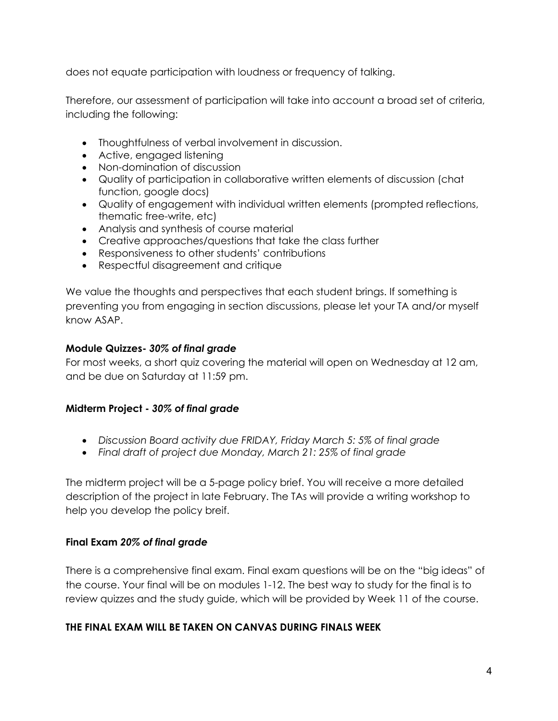does not equate participation with loudness or frequency of talking.

Therefore, our assessment of participation will take into account a broad set of criteria, including the following:

- Thoughtfulness of verbal involvement in discussion.
- Active, engaged listening
- Non-domination of discussion
- Quality of participation in collaborative written elements of discussion (chat function, google docs)
- Quality of engagement with individual written elements (prompted reflections, thematic free-write, etc)
- Analysis and synthesis of course material
- Creative approaches/questions that take the class further
- Responsiveness to other students' contributions
- Respectful disagreement and critique

We value the thoughts and perspectives that each student brings. If something is preventing you from engaging in section discussions, please let your TA and/or myself know ASAP.

### **Module Quizzes-** *30% of final grade*

For most weeks, a short quiz covering the material will open on Wednesday at 12 am, and be due on Saturday at 11:59 pm.

### **Midterm Project -** *30% of final grade*

- *Discussion Board activity due FRIDAY, Friday March 5: 5% of final grade*
- *Final draft of project due Monday, March 21: 25% of final grade*

The midterm project will be a 5-page policy brief. You will receive a more detailed description of the project in late February. The TAs will provide a writing workshop to help you develop the policy breif.

### **Final Exam** *20% of final grade*

There is a comprehensive final exam. Final exam questions will be on the "big ideas" of the course. Your final will be on modules 1-12. The best way to study for the final is to review quizzes and the study guide, which will be provided by Week 11 of the course.

# **THE FINAL EXAM WILL BE TAKEN ON CANVAS DURING FINALS WEEK**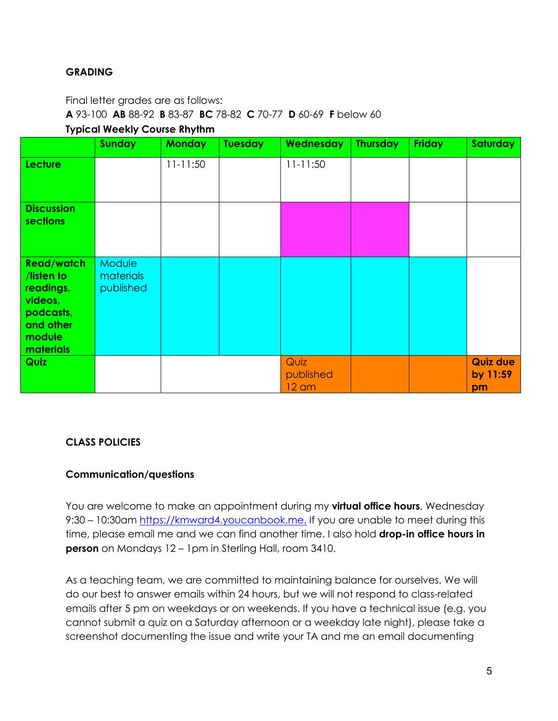### **GRADING**

Final letter grades are as follows:

**A** 93-100 **AB** 88-92 **B** 83-87 **BC** 78-82 **C** 70-77 **D** 60-69 **F** below 60

#### **Typical Weekly Course Rhythm**

|                                                                                                          | <b>Sunday</b>                           | <b>Monday</b> | <b>Tuesday</b> | <b>Wednesday</b>                     | <b>Thursday</b> | <b>Friday</b> | <b>Saturday</b>                   |
|----------------------------------------------------------------------------------------------------------|-----------------------------------------|---------------|----------------|--------------------------------------|-----------------|---------------|-----------------------------------|
| <b>Lecture</b>                                                                                           |                                         | $11 - 11:50$  |                | $11 - 11:50$                         |                 |               |                                   |
| <b>Discussion</b><br><b>sections</b>                                                                     |                                         |               |                |                                      |                 |               |                                   |
| <b>Read/watch</b><br>/listen to<br>readings,<br>videos,<br>podcasts,<br>and other<br>module<br>materials | <b>Module</b><br>materials<br>published |               |                |                                      |                 |               |                                   |
| <b>Quiz</b>                                                                                              |                                         |               |                | Quiz<br>published<br>$12 \text{ cm}$ |                 |               | <b>Quiz due</b><br>by 11:59<br>pm |

#### **CLASS POLICIES**

#### **Communication/questions**

You are welcome to make an appointment during my **virtual office hours**, Wednesday 9:30 – 10:30am https://kmward4.youcanbook.me. If you are unable to meet during this time, please email me and we can find another time. I also hold **drop-in office hours in person** on Mondays 12 – 1pm in Sterling Hall, room 3410.

As a teaching team, we are committed to maintaining balance for ourselves. We will do our best to answer emails within 24 hours, but we will not respond to class-related emails after 5 pm on weekdays or on weekends. If you have a technical issue (e.g. you cannot submit a quiz on a Saturday afternoon or a weekday late night), please take a screenshot documenting the issue and write your TA and me an email documenting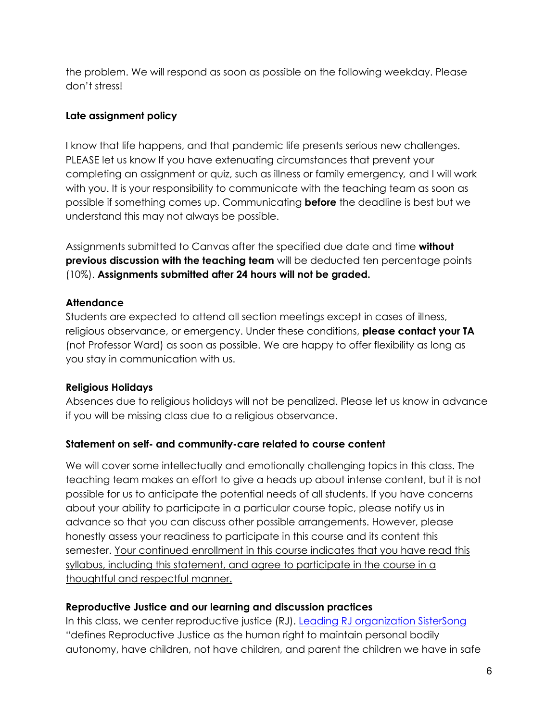the problem. We will respond as soon as possible on the following weekday. Please don't stress!

### **Late assignment policy**

I know that life happens, and that pandemic life presents serious new challenges. PLEASE let us know If you have extenuating circumstances that prevent your completing an assignment or quiz, such as illness or family emergency*,* and I will work with you. It is your responsibility to communicate with the teaching team as soon as possible if something comes up. Communicating **before** the deadline is best but we understand this may not always be possible.

Assignments submitted to Canvas after the specified due date and time **without previous discussion with the teaching team** will be deducted ten percentage points (10%). **Assignments submitted after 24 hours will not be graded.**

### **Attendance**

Students are expected to attend all section meetings except in cases of illness, religious observance, or emergency. Under these conditions, **please contact your TA** (not Professor Ward) as soon as possible. We are happy to offer flexibility as long as you stay in communication with us.

# **Religious Holidays**

Absences due to religious holidays will not be penalized. Please let us know in advance if you will be missing class due to a religious observance.

# **Statement on self- and community-care related to course content**

We will cover some intellectually and emotionally challenging topics in this class. The teaching team makes an effort to give a heads up about intense content, but it is not possible for us to anticipate the potential needs of all students. If you have concerns about your ability to participate in a particular course topic, please notify us in advance so that you can discuss other possible arrangements. However, please honestly assess your readiness to participate in this course and its content this semester. Your continued enrollment in this course indicates that you have read this syllabus, including this statement, and agree to participate in the course in a thoughtful and respectful manner.

### **Reproductive Justice and our learning and discussion practices**

In this class, we center reproductive justice (RJ). Leading RJ organization SisterSong "defines Reproductive Justice as the human right to maintain personal bodily autonomy, have children, not have children, and parent the children we have in safe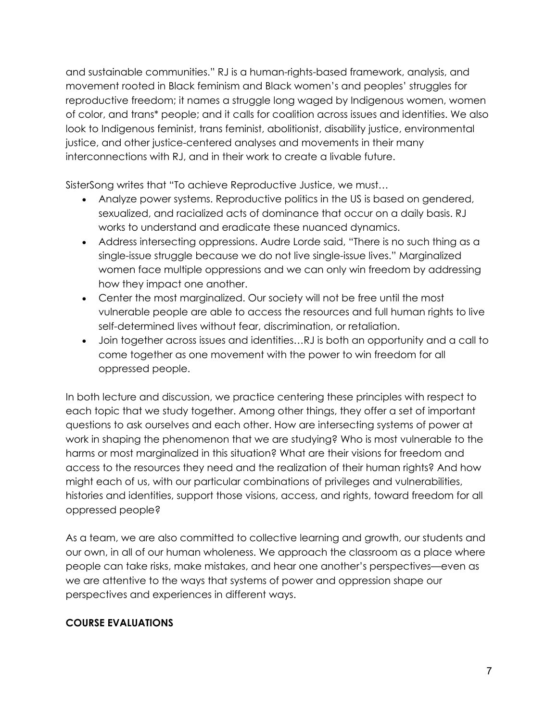and sustainable communities." RJ is a human-rights-based framework, analysis, and movement rooted in Black feminism and Black women's and peoples' struggles for reproductive freedom; it names a struggle long waged by Indigenous women, women of color, and trans\* people; and it calls for coalition across issues and identities. We also look to Indigenous feminist, trans feminist, abolitionist, disability justice, environmental justice, and other justice-centered analyses and movements in their many interconnections with RJ, and in their work to create a livable future.

SisterSong writes that "To achieve Reproductive Justice, we must…

- Analyze power systems. Reproductive politics in the US is based on gendered, sexualized, and racialized acts of dominance that occur on a daily basis. RJ works to understand and eradicate these nuanced dynamics.
- Address intersecting oppressions. Audre Lorde said, "There is no such thing as a single-issue struggle because we do not live single-issue lives." Marginalized women face multiple oppressions and we can only win freedom by addressing how they impact one another.
- Center the most marginalized. Our society will not be free until the most vulnerable people are able to access the resources and full human rights to live self-determined lives without fear, discrimination, or retaliation.
- Join together across issues and identities…RJ is both an opportunity and a call to come together as one movement with the power to win freedom for all oppressed people.

In both lecture and discussion, we practice centering these principles with respect to each topic that we study together. Among other things, they offer a set of important questions to ask ourselves and each other. How are intersecting systems of power at work in shaping the phenomenon that we are studying? Who is most vulnerable to the harms or most marginalized in this situation? What are their visions for freedom and access to the resources they need and the realization of their human rights? And how might each of us, with our particular combinations of privileges and vulnerabilities, histories and identities, support those visions, access, and rights, toward freedom for all oppressed people?

As a team, we are also committed to collective learning and growth, our students and our own, in all of our human wholeness. We approach the classroom as a place where people can take risks, make mistakes, and hear one another's perspectives—even as we are attentive to the ways that systems of power and oppression shape our perspectives and experiences in different ways.

# **COURSE EVALUATIONS**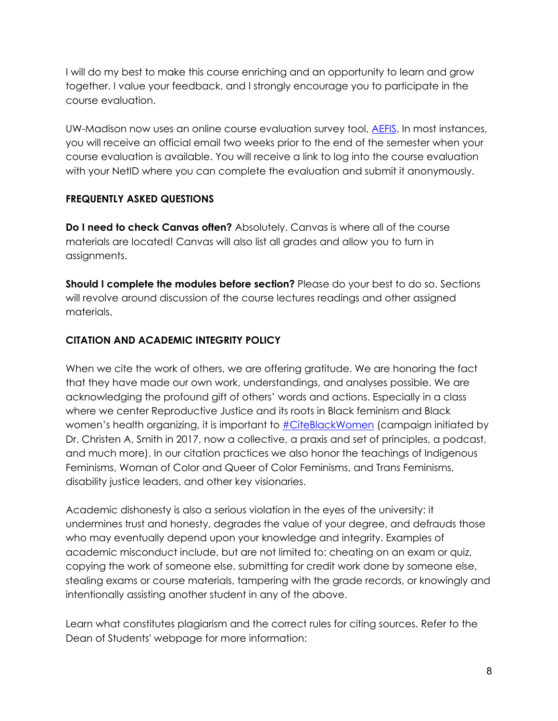I will do my best to make this course enriching and an opportunity to learn and grow together. I value your feedback, and I strongly encourage you to participate in the course evaluation.

UW-Madison now uses an online course evaluation survey tool, AEFIS. In most instances, you will receive an official email two weeks prior to the end of the semester when your course evaluation is available. You will receive a link to log into the course evaluation with your NetID where you can complete the evaluation and submit it anonymously.

# **FREQUENTLY ASKED QUESTIONS**

**Do I need to check Canvas often?** Absolutely. Canvas is where all of the course materials are located! Canvas will also list all grades and allow you to turn in assignments.

**Should I complete the modules before section?** Please do your best to do so. Sections will revolve around discussion of the course lectures readings and other assigned materials.

# **CITATION AND ACADEMIC INTEGRITY POLICY**

When we cite the work of others, we are offering gratitude. We are honoring the fact that they have made our own work, understandings, and analyses possible. We are acknowledging the profound gift of others' words and actions. Especially in a class where we center Reproductive Justice and its roots in Black feminism and Black women's health organizing, it is important to **#CiteBlackWomen** (campaign initiated by Dr. Christen A, Smith in 2017, now a collective, a praxis and set of principles, a podcast, and much more). In our citation practices we also honor the teachings of Indigenous Feminisms, Woman of Color and Queer of Color Feminisms, and Trans Feminisms, disability justice leaders, and other key visionaries.

Academic dishonesty is also a serious violation in the eyes of the university: it undermines trust and honesty, degrades the value of your degree, and defrauds those who may eventually depend upon your knowledge and integrity. Examples of academic misconduct include, but are not limited to: cheating on an exam or quiz, copying the work of someone else, submitting for credit work done by someone else, stealing exams or course materials, tampering with the grade records, or knowingly and intentionally assisting another student in any of the above.

Learn what constitutes plagiarism and the correct rules for citing sources. Refer to the Dean of Students' webpage for more information: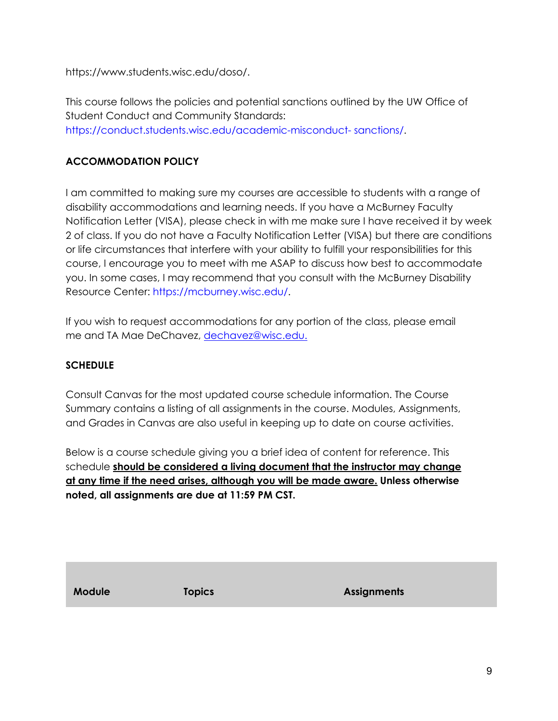https://www.students.wisc.edu/doso/.

This course follows the policies and potential sanctions outlined by the UW Office of Student Conduct and Community Standards: https://conduct.students.wisc.edu/academic-misconduct- sanctions/.

# **ACCOMMODATION POLICY**

I am committed to making sure my courses are accessible to students with a range of disability accommodations and learning needs. If you have a McBurney Faculty Notification Letter (VISA), please check in with me make sure I have received it by week 2 of class. If you do not have a Faculty Notification Letter (VISA) but there are conditions or life circumstances that interfere with your ability to fulfill your responsibilities for this course, I encourage you to meet with me ASAP to discuss how best to accommodate you. In some cases, I may recommend that you consult with the McBurney Disability Resource Center: https://mcburney.wisc.edu/.

If you wish to request accommodations for any portion of the class, please email me and TA Mae DeChavez, dechavez@wisc.edu.

# **SCHEDULE**

Consult Canvas for the most updated course schedule information. The Course Summary contains a listing of all assignments in the course. Modules, Assignments, and Grades in Canvas are also useful in keeping up to date on course activities.

Below is a course schedule giving you a brief idea of content for reference. This schedule **should be considered a living document that the instructor may change at any time if the need arises, although you will be made aware. Unless otherwise noted, all assignments are due at 11:59 PM CST.** 

**Module Topics Assignments**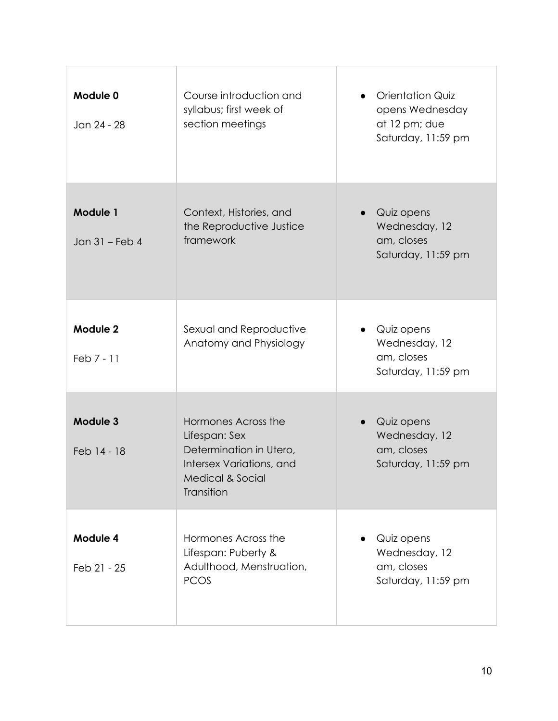| Module 0<br>Jan 24 - 28           | Course introduction and<br>syllabus; first week of<br>section meetings                                                                   | <b>Orientation Quiz</b><br>opens Wednesday<br>at 12 pm; due<br>Saturday, 11:59 pm |
|-----------------------------------|------------------------------------------------------------------------------------------------------------------------------------------|-----------------------------------------------------------------------------------|
| <b>Module 1</b><br>Jan 31 - Feb 4 | Context, Histories, and<br>the Reproductive Justice<br>framework                                                                         | Quiz opens<br>Wednesday, 12<br>am, closes<br>Saturday, 11:59 pm                   |
| Module 2<br>Feb 7 - 11            | Sexual and Reproductive<br>Anatomy and Physiology                                                                                        | Quiz opens<br>Wednesday, 12<br>am, closes<br>Saturday, 11:59 pm                   |
| Module 3<br>Feb 14 - 18           | Hormones Across the<br>Lifespan: Sex<br>Determination in Utero,<br>Intersex Variations, and<br><b>Medical &amp; Social</b><br>Transition | Quiz opens<br>Wednesday, 12<br>am, closes<br>Saturday, 11:59 pm                   |
| Module 4<br>Feb 21 - 25           | Hormones Across the<br>Lifespan: Puberty &<br>Adulthood, Menstruation,<br><b>PCOS</b>                                                    | Quiz opens<br>Wednesday, 12<br>am, closes<br>Saturday, 11:59 pm                   |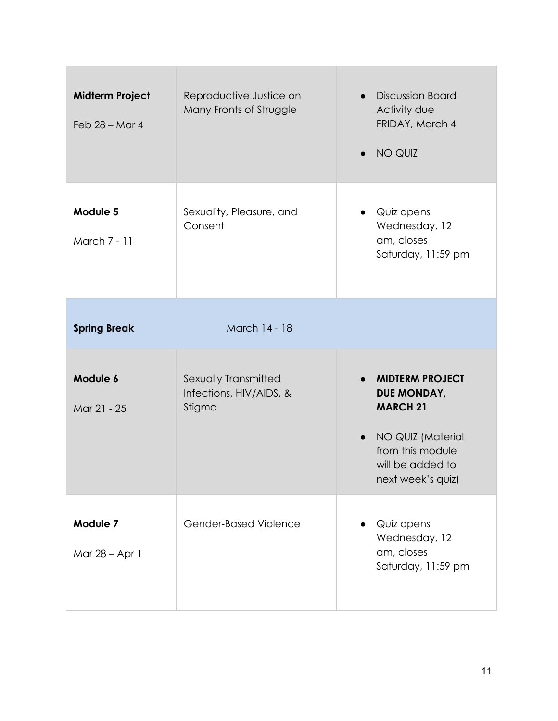| <b>Midterm Project</b><br>Feb $28 -$ Mar 4 | Reproductive Justice on<br>Many Fronts of Struggle | <b>Discussion Board</b><br>$\bullet$<br>Activity due<br>FRIDAY, March 4<br>NO QUIZ                                            |
|--------------------------------------------|----------------------------------------------------|-------------------------------------------------------------------------------------------------------------------------------|
| Module 5<br>March 7 - 11                   | Sexuality, Pleasure, and<br>Consent                | Quiz opens<br>Wednesday, 12<br>am, closes<br>Saturday, 11:59 pm                                                               |
| <b>Spring Break</b>                        | March 14 - 18                                      |                                                                                                                               |
| Module 6                                   | Sexually Transmitted<br>Infections, HIV/AIDS, &    | <b>MIDTERM PROJECT</b><br>$\bullet$                                                                                           |
| Mar 21 - 25                                | Stigma                                             | DUE MONDAY,<br><b>MARCH 21</b><br>NO QUIZ (Material<br>$\bullet$<br>from this module<br>will be added to<br>next week's quiz) |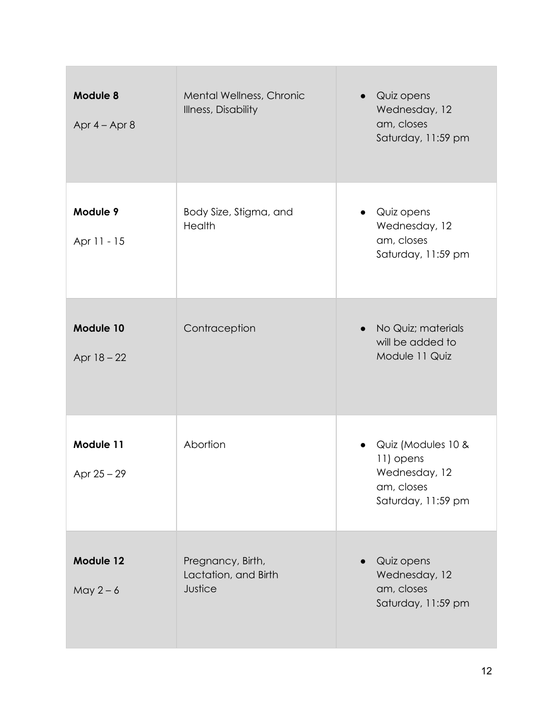| Module 8<br>Apr $4 -$ Apr $8$ | Mental Wellness, Chronic<br><b>Illness, Disability</b> | Quiz opens<br>Wednesday, 12<br>am, closes<br>Saturday, 11:59 pm                      |
|-------------------------------|--------------------------------------------------------|--------------------------------------------------------------------------------------|
| Module 9<br>Apr 11 - 15       | Body Size, Stigma, and<br><b>Health</b>                | Quiz opens<br>$\bullet$<br>Wednesday, 12<br>am, closes<br>Saturday, 11:59 pm         |
| Module 10<br>Apr 18 - 22      | Contraception                                          | No Quiz; materials<br>$\bullet$<br>will be added to<br>Module 11 Quiz                |
| Module 11<br>Apr $25 - 29$    | Abortion                                               | Quiz (Modules 10 &<br>11) opens<br>Wednesday, 12<br>am, closes<br>Saturday, 11:59 pm |
| Module 12<br>May $2-6$        | Pregnancy, Birth,<br>Lactation, and Birth<br>Justice   | Quiz opens<br>Wednesday, 12<br>am, closes<br>Saturday, 11:59 pm                      |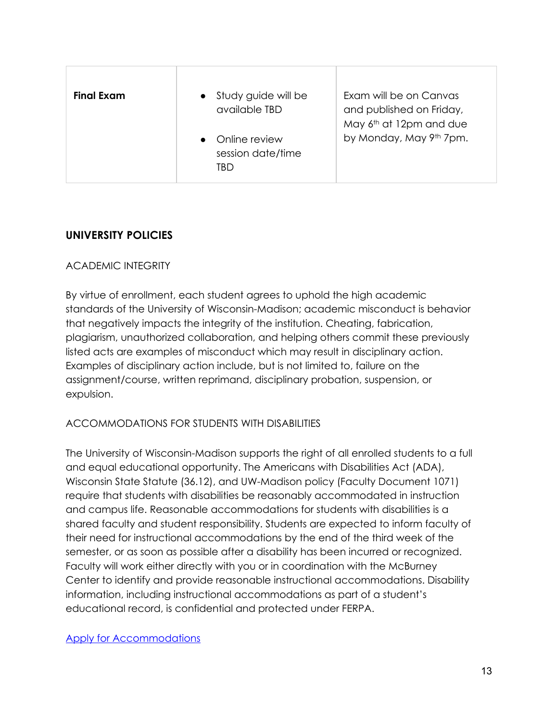| <b>Final Exam</b> | Study guide will be<br>$\bullet$<br>available TBD | Exam will be on Canvas<br>and published on Friday,<br>May 6th at 12pm and due |
|-------------------|---------------------------------------------------|-------------------------------------------------------------------------------|
|                   | Online review<br>session date/time<br>TBD         | by Monday, May 9th 7pm.                                                       |

# **UNIVERSITY POLICIES**

### ACADEMIC INTEGRITY

By virtue of enrollment, each student agrees to uphold the high academic standards of the University of Wisconsin-Madison; academic misconduct is behavior that negatively impacts the integrity of the institution. Cheating, fabrication, plagiarism, unauthorized collaboration, and helping others commit these previously listed acts are examples of misconduct which may result in disciplinary action. Examples of disciplinary action include, but is not limited to, failure on the assignment/course, written reprimand, disciplinary probation, suspension, or expulsion.

# ACCOMMODATIONS FOR STUDENTS WITH DISABILITIES

The University of Wisconsin-Madison supports the right of all enrolled students to a full and equal educational opportunity. The Americans with Disabilities Act (ADA), Wisconsin State Statute (36.12), and UW-Madison policy (Faculty Document 1071) require that students with disabilities be reasonably accommodated in instruction and campus life. Reasonable accommodations for students with disabilities is a shared faculty and student responsibility. Students are expected to inform faculty of their need for instructional accommodations by the end of the third week of the semester, or as soon as possible after a disability has been incurred or recognized. Faculty will work either directly with you or in coordination with the McBurney Center to identify and provide reasonable instructional accommodations. Disability information, including instructional accommodations as part of a student's educational record, is confidential and protected under FERPA.

Apply for Accommodations